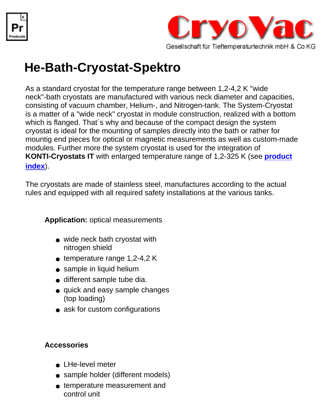



## **He-Bath-Cryostat-Spektro**

As a standard cryostat for the temperature range between 1,2-4,2 K "wide neck"-bath cryostats are manufactured with various neck diameter and capacities, consisting of vacuum chamber, Helium-, and Nitrogen-tank. The System-Cryostat is a matter of a "wide neck" cryostat in module construction, realized with a bottom which is flanged. That´s why and because of the compact design the system cryostat is ideal for the mounting of samples directly into the bath or rather for mountig end pieces for optical or magnetic measurements as well as custom-made modules. Further more the system cryostat is used for the integration of **KONTI-Cryostats IT** with enlarged temperature range of 1,2-325 K (see **[product](file:///C|/Dokumente und Einstellungen/Karl-Heinz K�nkel/Eigene Dateien/Kalle/Kunden/cryovac/products.html) [index](file:///C|/Dokumente und Einstellungen/Karl-Heinz K�nkel/Eigene Dateien/Kalle/Kunden/cryovac/products.html)**).

The cryostats are made of stainless steel, manufactures according to the actual rules and equipped with all required safety installations at the various tanks.

**Application:** optical measurements

- wide neck bath cryostat with nitrogen shield
- $\bullet$  temperature range 1,2-4,2 K
- sample in liquid helium
- different sample tube dia.
- quick and easy sample changes (top loading)
- ask for custom configurations

## **Accessories**

- LHe-level meter
- sample holder (different models)
- temperature measurement and control unit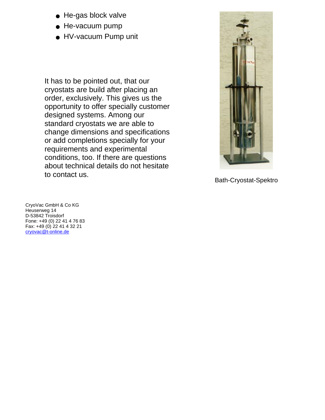- He-gas block valve
- He-vacuum pump
- HV-vacuum Pump unit

It has to be pointed out, that our cryostats are build after placing an order, exclusively. This gives us the opportunity to offer specially customer designed systems. Among our standard cryostats we are able to change dimensions and specifications or add completions specially for your requirements and experimental conditions, too. If there are questions about technical details do not hesitate to contact us.



Bath-Cryostat-Spektro

CryoVac GmbH & Co KG Heuserweg 14 D-53842 Troisdorf Fone: +49 (0) 22 41 4 76 83 Fax: +49 (0) 22 41 4 32 21 [cryovac@t-online.de](mailto:cryovac@t-online.de)